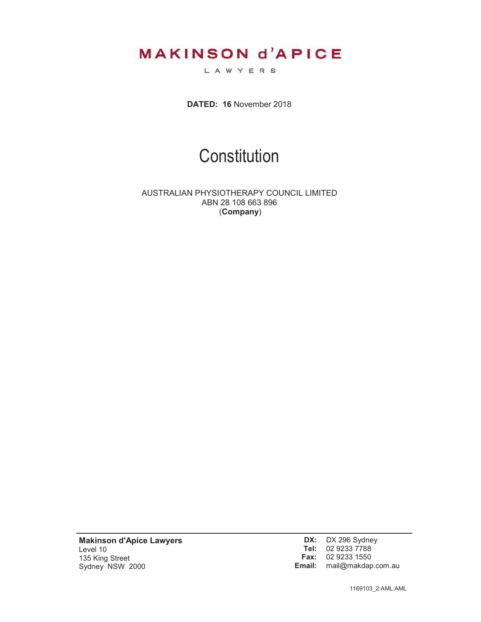**MAKINSON d'APICE** 

LAWYERS

**DATED: 16** November 2018

# **Constitution**

AUSTRALIAN PHYSIOTHERAPY COUNCIL LIMITED ABN 28 108 663 896 (**Company**)

**Makinson d'Apice Lawyers** Level 10 135 King Street Sydney NSW 2000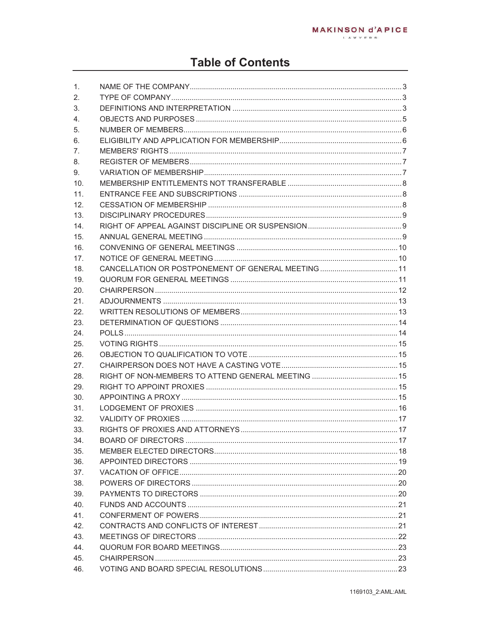## **Table of Contents**

| 1.  |  |
|-----|--|
| 2.  |  |
| 3.  |  |
| 4.  |  |
| 5.  |  |
| 6.  |  |
| 7.  |  |
| 8.  |  |
| 9.  |  |
| 10. |  |
| 11. |  |
| 12. |  |
| 13. |  |
| 14. |  |
| 15. |  |
| 16. |  |
| 17. |  |
| 18. |  |
| 19. |  |
| 20. |  |
| 21. |  |
| 22. |  |
| 23. |  |
| 24. |  |
| 25. |  |
| 26. |  |
| 27. |  |
| 28. |  |
| 29. |  |
| 30. |  |
| 31. |  |
| 32. |  |
| 33. |  |
| 34. |  |
| 35. |  |
| 36. |  |
| 37. |  |
| 38. |  |
| 39. |  |
| 40. |  |
| 41. |  |
| 42. |  |
| 43. |  |
| 44. |  |
| 45. |  |
| 46. |  |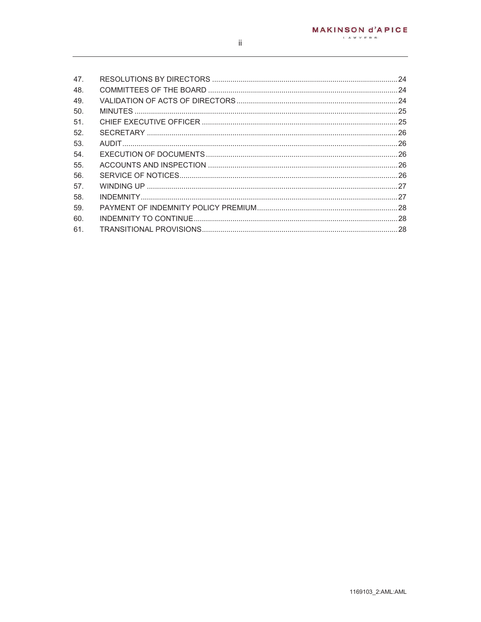| 47.  |  |
|------|--|
| 48.  |  |
| 49.  |  |
| 50.  |  |
| 51.  |  |
| .52. |  |
| 53.  |  |
| -54. |  |
| 55.  |  |
| 56.  |  |
| .57. |  |
| 58.  |  |
| 59.  |  |
| 60.  |  |
| 61.  |  |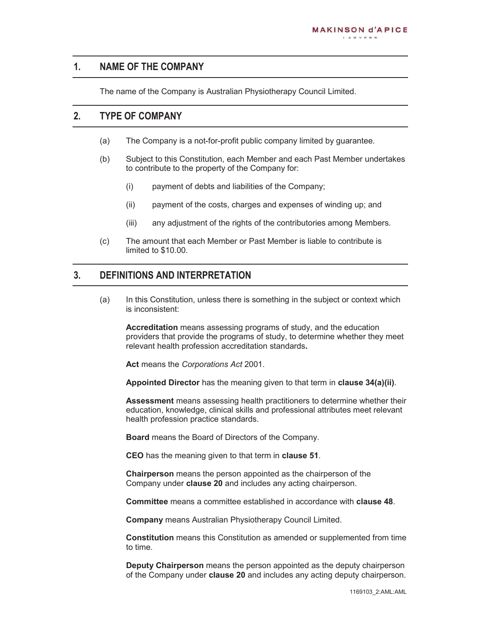#### **1. NAME OF THE COMPANY**

The name of the Company is Australian Physiotherapy Council Limited.

#### **2. TYPE OF COMPANY**

- (a) The Company is a not-for-profit public company limited by guarantee.
- (b) Subject to this Constitution, each Member and each Past Member undertakes to contribute to the property of the Company for:
	- (i) payment of debts and liabilities of the Company;
	- (ii) payment of the costs, charges and expenses of winding up; and
	- (iii) any adjustment of the rights of the contributories among Members.
- (c) The amount that each Member or Past Member is liable to contribute is limited to \$10.00.

## **3. DEFINITIONS AND INTERPRETATION**

(a) In this Constitution, unless there is something in the subject or context which is inconsistent:

**Accreditation** means assessing programs of study, and the education providers that provide the programs of study, to determine whether they meet relevant health profession accreditation standards**.** 

**Act** means the *Corporations Act* 2001.

**Appointed Director** has the meaning given to that term in **clause 34(a)(ii)**.

**Assessment** means assessing health practitioners to determine whether their education, knowledge, clinical skills and professional attributes meet relevant health profession practice standards.

**Board** means the Board of Directors of the Company.

**CEO** has the meaning given to that term in **clause 51**.

**Chairperson** means the person appointed as the chairperson of the Company under **clause 20** and includes any acting chairperson.

**Committee** means a committee established in accordance with **clause 48**.

**Company** means Australian Physiotherapy Council Limited.

**Constitution** means this Constitution as amended or supplemented from time to time.

**Deputy Chairperson** means the person appointed as the deputy chairperson of the Company under **clause 20** and includes any acting deputy chairperson.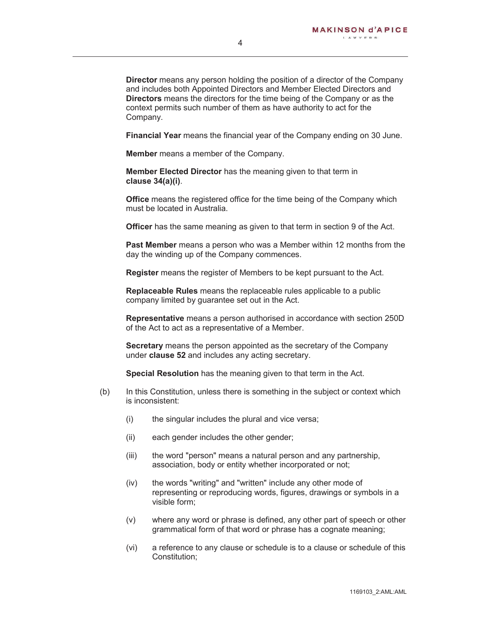**Financial Year** means the financial year of the Company ending on 30 June.

**Member** means a member of the Company.

**Member Elected Director** has the meaning given to that term in **clause 34(a)(i)**.

**Office** means the registered office for the time being of the Company which must be located in Australia.

**Officer** has the same meaning as given to that term in section 9 of the Act.

**Past Member** means a person who was a Member within 12 months from the day the winding up of the Company commences.

**Register** means the register of Members to be kept pursuant to the Act.

**Replaceable Rules** means the replaceable rules applicable to a public company limited by guarantee set out in the Act.

**Representative** means a person authorised in accordance with section 250D of the Act to act as a representative of a Member.

**Secretary** means the person appointed as the secretary of the Company under **clause 52** and includes any acting secretary.

**Special Resolution** has the meaning given to that term in the Act.

- (b) In this Constitution, unless there is something in the subject or context which is inconsistent:
	- (i) the singular includes the plural and vice versa;
	- (ii) each gender includes the other gender;
	- (iii) the word "person" means a natural person and any partnership, association, body or entity whether incorporated or not;
	- (iv) the words "writing" and "written" include any other mode of representing or reproducing words, figures, drawings or symbols in a visible form;
	- (v) where any word or phrase is defined, any other part of speech or other grammatical form of that word or phrase has a cognate meaning;
	- (vi) a reference to any clause or schedule is to a clause or schedule of this Constitution;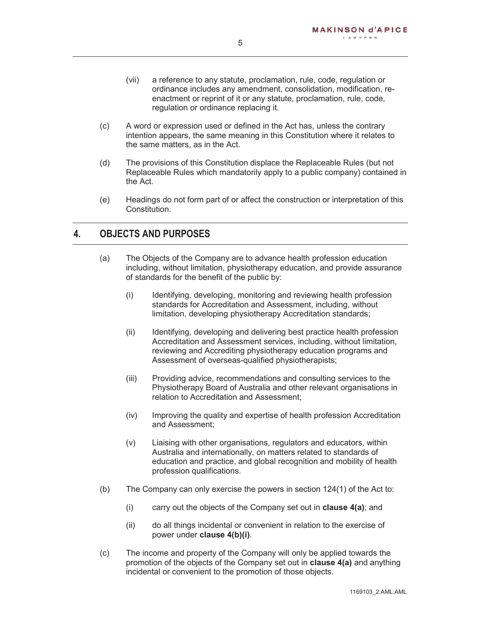- (vii) a reference to any statute, proclamation, rule, code, regulation or ordinance includes any amendment, consolidation, modification, reenactment or reprint of it or any statute, proclamation, rule, code, regulation or ordinance replacing it.
- (c) A word or expression used or defined in the Act has, unless the contrary intention appears, the same meaning in this Constitution where it relates to the same matters, as in the Act.
- (d) The provisions of this Constitution displace the Replaceable Rules (but not Replaceable Rules which mandatorily apply to a public company) contained in the Act.
- (e) Headings do not form part of or affect the construction or interpretation of this Constitution.

#### **4. OBJECTS AND PURPOSES**

- (a) The Objects of the Company are to advance health profession education including, without limitation, physiotherapy education, and provide assurance of standards for the benefit of the public by:
	- (i) Identifying, developing, monitoring and reviewing health profession standards for Accreditation and Assessment, including, without limitation, developing physiotherapy Accreditation standards;
	- (ii) Identifying, developing and delivering best practice health profession Accreditation and Assessment services, including, without limitation, reviewing and Accrediting physiotherapy education programs and Assessment of overseas-qualified physiotherapists;
	- (iii) Providing advice, recommendations and consulting services to the Physiotherapy Board of Australia and other relevant organisations in relation to Accreditation and Assessment;
	- (iv) Improving the quality and expertise of health profession Accreditation and Assessment;
	- (v) Liaising with other organisations, regulators and educators, within Australia and internationally, on matters related to standards of education and practice, and global recognition and mobility of health profession qualifications.
- (b) The Company can only exercise the powers in section 124(1) of the Act to:
	- (i) carry out the objects of the Company set out in **clause 4(a)**; and
	- (ii) do all things incidental or convenient in relation to the exercise of power under **clause 4(b)(i)**.
- (c) The income and property of the Company will only be applied towards the promotion of the objects of the Company set out in **clause 4(a)** and anything incidental or convenient to the promotion of those objects.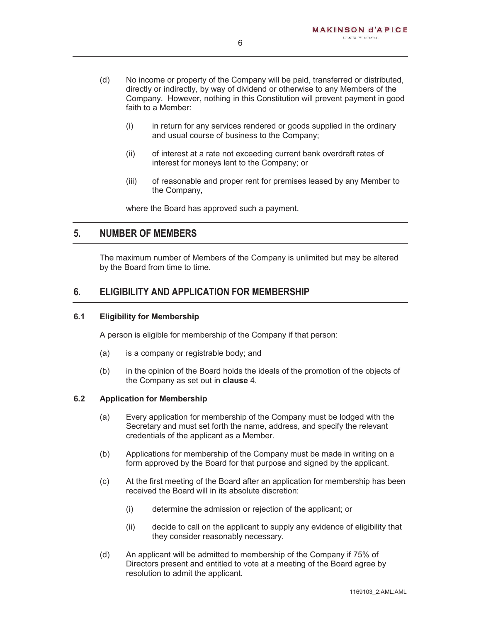- (d) No income or property of the Company will be paid, transferred or distributed, directly or indirectly, by way of dividend or otherwise to any Members of the Company. However, nothing in this Constitution will prevent payment in good faith to a Member:
	- (i) in return for any services rendered or goods supplied in the ordinary and usual course of business to the Company;
	- (ii) of interest at a rate not exceeding current bank overdraft rates of interest for moneys lent to the Company; or
	- (iii) of reasonable and proper rent for premises leased by any Member to the Company,

where the Board has approved such a payment.

#### **5. NUMBER OF MEMBERS**

The maximum number of Members of the Company is unlimited but may be altered by the Board from time to time.

#### **6. ELIGIBILITY AND APPLICATION FOR MEMBERSHIP**

#### **6.1 Eligibility for Membership**

A person is eligible for membership of the Company if that person:

- (a) is a company or registrable body; and
- (b) in the opinion of the Board holds the ideals of the promotion of the objects of the Company as set out in **clause** 4.

#### **6.2 Application for Membership**

- (a) Every application for membership of the Company must be lodged with the Secretary and must set forth the name, address, and specify the relevant credentials of the applicant as a Member.
- (b) Applications for membership of the Company must be made in writing on a form approved by the Board for that purpose and signed by the applicant.
- (c) At the first meeting of the Board after an application for membership has been received the Board will in its absolute discretion:
	- (i) determine the admission or rejection of the applicant; or
	- (ii) decide to call on the applicant to supply any evidence of eligibility that they consider reasonably necessary.
- (d) An applicant will be admitted to membership of the Company if 75% of Directors present and entitled to vote at a meeting of the Board agree by resolution to admit the applicant.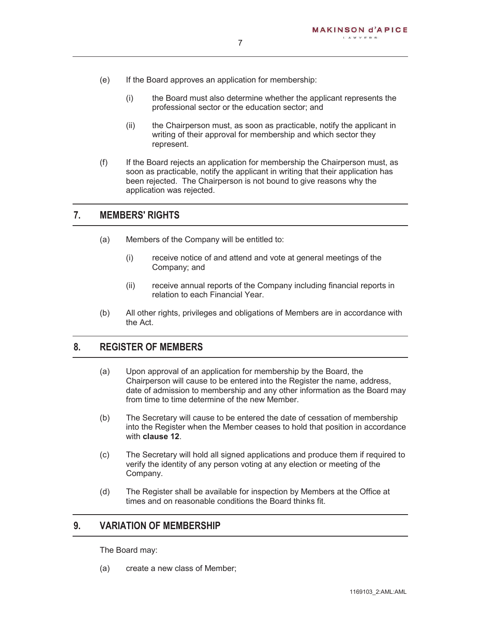- (e) If the Board approves an application for membership:
	- (i) the Board must also determine whether the applicant represents the professional sector or the education sector; and
	- (ii) the Chairperson must, as soon as practicable, notify the applicant in writing of their approval for membership and which sector they represent.
- (f) If the Board rejects an application for membership the Chairperson must, as soon as practicable, notify the applicant in writing that their application has been rejected. The Chairperson is not bound to give reasons why the application was rejected.

#### **7. MEMBERS' RIGHTS**

- (a) Members of the Company will be entitled to:
	- (i) receive notice of and attend and vote at general meetings of the Company; and
	- (ii) receive annual reports of the Company including financial reports in relation to each Financial Year.
- (b) All other rights, privileges and obligations of Members are in accordance with the Act.

#### **8. REGISTER OF MEMBERS**

- (a) Upon approval of an application for membership by the Board, the Chairperson will cause to be entered into the Register the name, address, date of admission to membership and any other information as the Board may from time to time determine of the new Member.
- (b) The Secretary will cause to be entered the date of cessation of membership into the Register when the Member ceases to hold that position in accordance with **clause 12**.
- (c) The Secretary will hold all signed applications and produce them if required to verify the identity of any person voting at any election or meeting of the Company.
- (d) The Register shall be available for inspection by Members at the Office at times and on reasonable conditions the Board thinks fit.

#### **9. VARIATION OF MEMBERSHIP**

The Board may:

(a) create a new class of Member;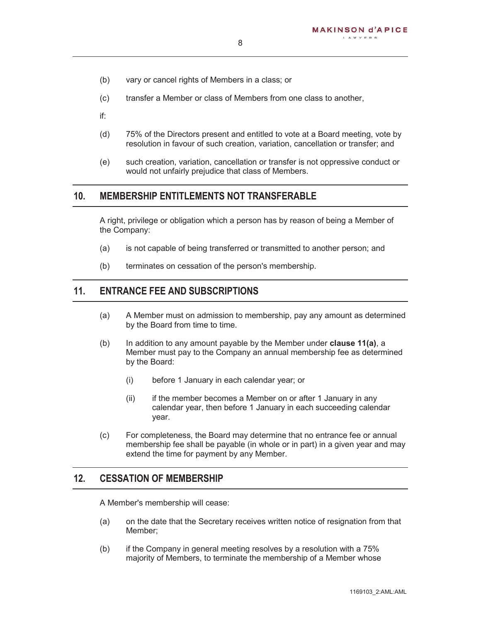- (b) vary or cancel rights of Members in a class; or
- (c) transfer a Member or class of Members from one class to another,
- if:
- (d) 75% of the Directors present and entitled to vote at a Board meeting, vote by resolution in favour of such creation, variation, cancellation or transfer; and
- (e) such creation, variation, cancellation or transfer is not oppressive conduct or would not unfairly prejudice that class of Members.

#### **10. MEMBERSHIP ENTITLEMENTS NOT TRANSFERABLE**

A right, privilege or obligation which a person has by reason of being a Member of the Company:

- (a) is not capable of being transferred or transmitted to another person; and
- (b) terminates on cessation of the person's membership.

#### **11. ENTRANCE FEE AND SUBSCRIPTIONS**

- (a) A Member must on admission to membership, pay any amount as determined by the Board from time to time.
- (b) In addition to any amount payable by the Member under **clause 11(a)**, a Member must pay to the Company an annual membership fee as determined by the Board:
	- (i) before 1 January in each calendar year; or
	- (ii) if the member becomes a Member on or after 1 January in any calendar year, then before 1 January in each succeeding calendar year.
- (c) For completeness, the Board may determine that no entrance fee or annual membership fee shall be payable (in whole or in part) in a given year and may extend the time for payment by any Member.

#### **12. CESSATION OF MEMBERSHIP**

A Member's membership will cease:

- (a) on the date that the Secretary receives written notice of resignation from that Member;
- (b) if the Company in general meeting resolves by a resolution with a 75% majority of Members, to terminate the membership of a Member whose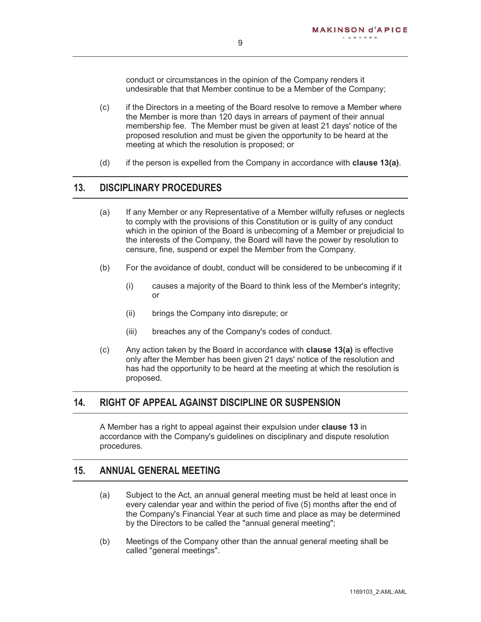conduct or circumstances in the opinion of the Company renders it undesirable that that Member continue to be a Member of the Company;

- (c) if the Directors in a meeting of the Board resolve to remove a Member where the Member is more than 120 days in arrears of payment of their annual membership fee. The Member must be given at least 21 days' notice of the proposed resolution and must be given the opportunity to be heard at the meeting at which the resolution is proposed; or
- (d) if the person is expelled from the Company in accordance with **clause 13(a)**.

#### **13. DISCIPLINARY PROCEDURES**

- (a) If any Member or any Representative of a Member wilfully refuses or neglects to comply with the provisions of this Constitution or is guilty of any conduct which in the opinion of the Board is unbecoming of a Member or prejudicial to the interests of the Company, the Board will have the power by resolution to censure, fine, suspend or expel the Member from the Company.
- (b) For the avoidance of doubt, conduct will be considered to be unbecoming if it
	- (i) causes a majority of the Board to think less of the Member's integrity; or
	- (ii) brings the Company into disrepute; or
	- (iii) breaches any of the Company's codes of conduct.
- (c) Any action taken by the Board in accordance with **clause 13(a)** is effective only after the Member has been given 21 days' notice of the resolution and has had the opportunity to be heard at the meeting at which the resolution is proposed.

## **14. RIGHT OF APPEAL AGAINST DISCIPLINE OR SUSPENSION**

A Member has a right to appeal against their expulsion under **clause 13** in accordance with the Company's guidelines on disciplinary and dispute resolution procedures.

#### **15. ANNUAL GENERAL MEETING**

- (a) Subject to the Act, an annual general meeting must be held at least once in every calendar year and within the period of five (5) months after the end of the Company's Financial Year at such time and place as may be determined by the Directors to be called the "annual general meeting";
- (b) Meetings of the Company other than the annual general meeting shall be called "general meetings".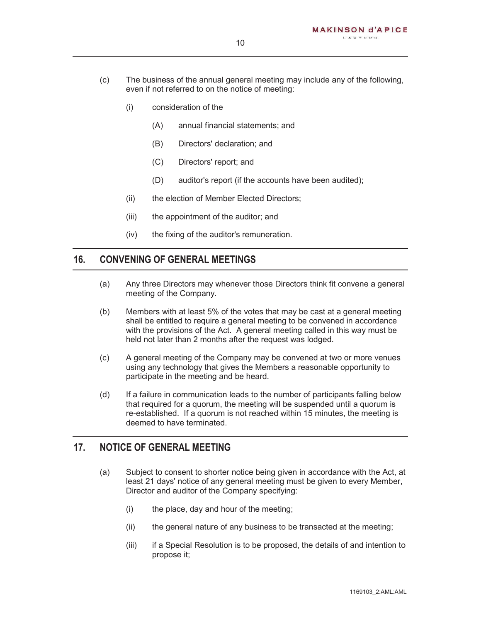- (c) The business of the annual general meeting may include any of the following, even if not referred to on the notice of meeting:
	- (i) consideration of the
		- (A) annual financial statements; and
		- (B) Directors' declaration; and
		- (C) Directors' report; and
		- (D) auditor's report (if the accounts have been audited);
	- (ii) the election of Member Elected Directors;
	- (iii) the appointment of the auditor; and
	- (iv) the fixing of the auditor's remuneration.

#### **16. CONVENING OF GENERAL MEETINGS**

- (a) Any three Directors may whenever those Directors think fit convene a general meeting of the Company.
- (b) Members with at least 5% of the votes that may be cast at a general meeting shall be entitled to require a general meeting to be convened in accordance with the provisions of the Act. A general meeting called in this way must be held not later than 2 months after the request was lodged.
- (c) A general meeting of the Company may be convened at two or more venues using any technology that gives the Members a reasonable opportunity to participate in the meeting and be heard.
- (d) If a failure in communication leads to the number of participants falling below that required for a quorum, the meeting will be suspended until a quorum is re-established. If a quorum is not reached within 15 minutes, the meeting is deemed to have terminated.

#### **17. NOTICE OF GENERAL MEETING**

- (a) Subject to consent to shorter notice being given in accordance with the Act, at least 21 days' notice of any general meeting must be given to every Member, Director and auditor of the Company specifying:
	- (i) the place, day and hour of the meeting;
	- (ii) the general nature of any business to be transacted at the meeting;
	- (iii) if a Special Resolution is to be proposed, the details of and intention to propose it;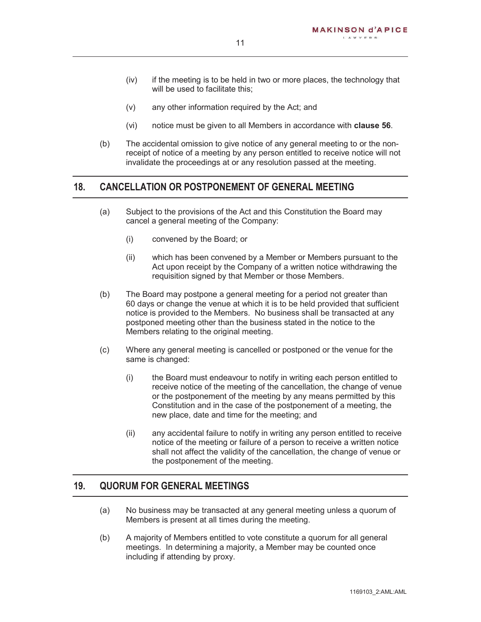- (iv) if the meeting is to be held in two or more places, the technology that will be used to facilitate this:
- (v) any other information required by the Act; and
- (vi) notice must be given to all Members in accordance with **clause 56**.
- (b) The accidental omission to give notice of any general meeting to or the nonreceipt of notice of a meeting by any person entitled to receive notice will not invalidate the proceedings at or any resolution passed at the meeting.

#### **18. CANCELLATION OR POSTPONEMENT OF GENERAL MEETING**

- (a) Subject to the provisions of the Act and this Constitution the Board may cancel a general meeting of the Company:
	- (i) convened by the Board; or
	- (ii) which has been convened by a Member or Members pursuant to the Act upon receipt by the Company of a written notice withdrawing the requisition signed by that Member or those Members.
- (b) The Board may postpone a general meeting for a period not greater than 60 days or change the venue at which it is to be held provided that sufficient notice is provided to the Members. No business shall be transacted at any postponed meeting other than the business stated in the notice to the Members relating to the original meeting.
- (c) Where any general meeting is cancelled or postponed or the venue for the same is changed:
	- (i) the Board must endeavour to notify in writing each person entitled to receive notice of the meeting of the cancellation, the change of venue or the postponement of the meeting by any means permitted by this Constitution and in the case of the postponement of a meeting, the new place, date and time for the meeting; and
	- (ii) any accidental failure to notify in writing any person entitled to receive notice of the meeting or failure of a person to receive a written notice shall not affect the validity of the cancellation, the change of venue or the postponement of the meeting.

#### **19. QUORUM FOR GENERAL MEETINGS**

- (a) No business may be transacted at any general meeting unless a quorum of Members is present at all times during the meeting.
- (b) A majority of Members entitled to vote constitute a quorum for all general meetings. In determining a majority, a Member may be counted once including if attending by proxy.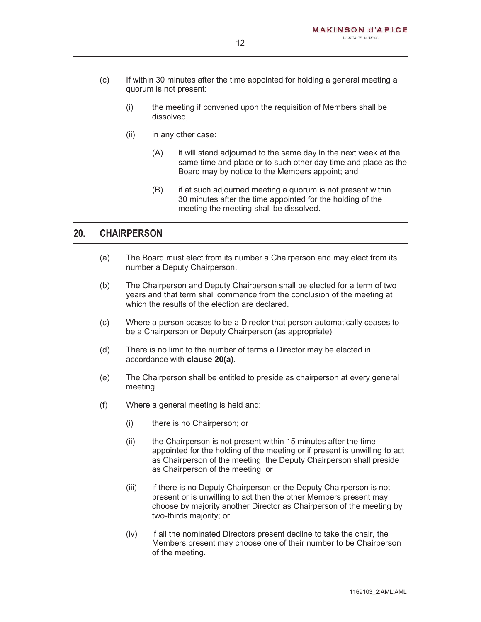- (c) If within 30 minutes after the time appointed for holding a general meeting a quorum is not present:
	- (i) the meeting if convened upon the requisition of Members shall be dissolved;
	- (ii) in any other case:
		- (A) it will stand adjourned to the same day in the next week at the same time and place or to such other day time and place as the Board may by notice to the Members appoint; and
		- (B) if at such adjourned meeting a quorum is not present within 30 minutes after the time appointed for the holding of the meeting the meeting shall be dissolved.

#### **20. CHAIRPERSON**

- (a) The Board must elect from its number a Chairperson and may elect from its number a Deputy Chairperson.
- (b) The Chairperson and Deputy Chairperson shall be elected for a term of two years and that term shall commence from the conclusion of the meeting at which the results of the election are declared.
- (c) Where a person ceases to be a Director that person automatically ceases to be a Chairperson or Deputy Chairperson (as appropriate).
- (d) There is no limit to the number of terms a Director may be elected in accordance with **clause 20(a)**.
- (e) The Chairperson shall be entitled to preside as chairperson at every general meeting.
- (f) Where a general meeting is held and:
	- (i) there is no Chairperson; or
	- (ii) the Chairperson is not present within 15 minutes after the time appointed for the holding of the meeting or if present is unwilling to act as Chairperson of the meeting, the Deputy Chairperson shall preside as Chairperson of the meeting; or
	- (iii) if there is no Deputy Chairperson or the Deputy Chairperson is not present or is unwilling to act then the other Members present may choose by majority another Director as Chairperson of the meeting by two-thirds majority; or
	- (iv) if all the nominated Directors present decline to take the chair, the Members present may choose one of their number to be Chairperson of the meeting.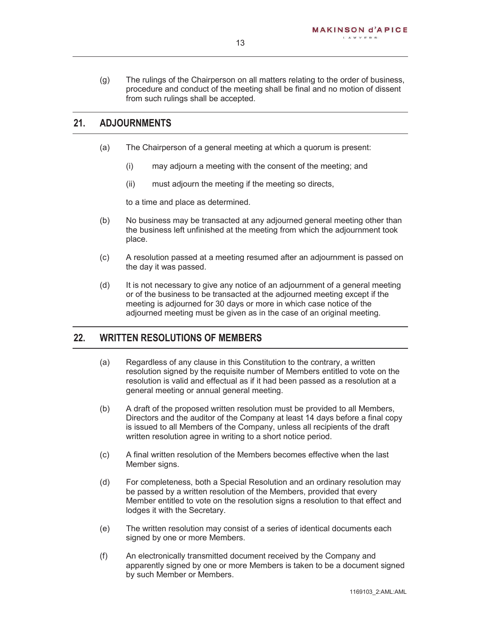(g) The rulings of the Chairperson on all matters relating to the order of business, procedure and conduct of the meeting shall be final and no motion of dissent from such rulings shall be accepted.

#### **21. ADJOURNMENTS**

- (a) The Chairperson of a general meeting at which a quorum is present:
	- (i) may adjourn a meeting with the consent of the meeting; and
	- (ii) must adjourn the meeting if the meeting so directs,

to a time and place as determined.

- (b) No business may be transacted at any adjourned general meeting other than the business left unfinished at the meeting from which the adjournment took place.
- (c) A resolution passed at a meeting resumed after an adjournment is passed on the day it was passed.
- (d) It is not necessary to give any notice of an adjournment of a general meeting or of the business to be transacted at the adjourned meeting except if the meeting is adjourned for 30 days or more in which case notice of the adjourned meeting must be given as in the case of an original meeting.

#### **22. WRITTEN RESOLUTIONS OF MEMBERS**

- (a) Regardless of any clause in this Constitution to the contrary, a written resolution signed by the requisite number of Members entitled to vote on the resolution is valid and effectual as if it had been passed as a resolution at a general meeting or annual general meeting.
- (b) A draft of the proposed written resolution must be provided to all Members, Directors and the auditor of the Company at least 14 days before a final copy is issued to all Members of the Company, unless all recipients of the draft written resolution agree in writing to a short notice period.
- (c) A final written resolution of the Members becomes effective when the last Member signs.
- (d) For completeness, both a Special Resolution and an ordinary resolution may be passed by a written resolution of the Members, provided that every Member entitled to vote on the resolution signs a resolution to that effect and lodges it with the Secretary.
- (e) The written resolution may consist of a series of identical documents each signed by one or more Members.
- (f) An electronically transmitted document received by the Company and apparently signed by one or more Members is taken to be a document signed by such Member or Members.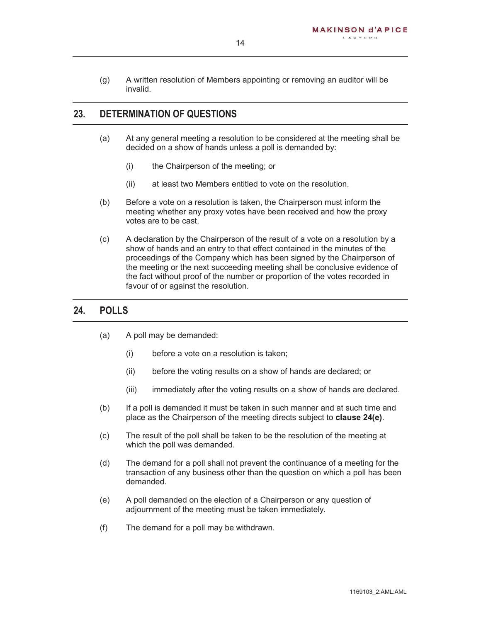(g) A written resolution of Members appointing or removing an auditor will be invalid.

#### **23. DETERMINATION OF QUESTIONS**

- (a) At any general meeting a resolution to be considered at the meeting shall be decided on a show of hands unless a poll is demanded by:
	- (i) the Chairperson of the meeting; or
	- (ii) at least two Members entitled to vote on the resolution.
- (b) Before a vote on a resolution is taken, the Chairperson must inform the meeting whether any proxy votes have been received and how the proxy votes are to be cast.
- (c) A declaration by the Chairperson of the result of a vote on a resolution by a show of hands and an entry to that effect contained in the minutes of the proceedings of the Company which has been signed by the Chairperson of the meeting or the next succeeding meeting shall be conclusive evidence of the fact without proof of the number or proportion of the votes recorded in favour of or against the resolution.

#### **24. POLLS**

- (a) A poll may be demanded:
	- (i) before a vote on a resolution is taken;
	- (ii) before the voting results on a show of hands are declared; or
	- (iii) immediately after the voting results on a show of hands are declared.
- (b) If a poll is demanded it must be taken in such manner and at such time and place as the Chairperson of the meeting directs subject to **clause 24(e)**.
- (c) The result of the poll shall be taken to be the resolution of the meeting at which the poll was demanded.
- (d) The demand for a poll shall not prevent the continuance of a meeting for the transaction of any business other than the question on which a poll has been demanded.
- (e) A poll demanded on the election of a Chairperson or any question of adjournment of the meeting must be taken immediately.
- (f) The demand for a poll may be withdrawn.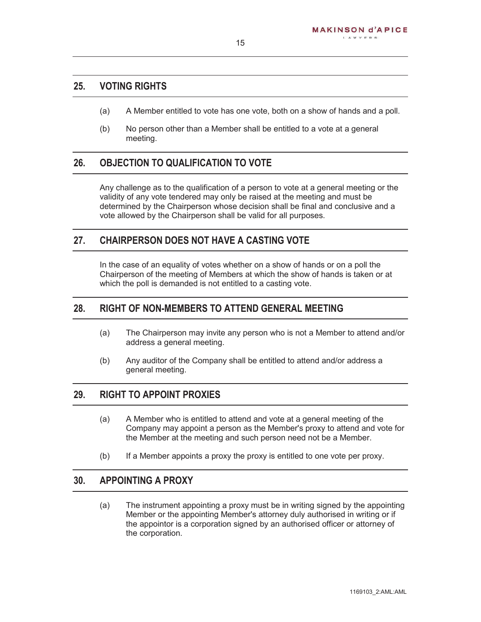#### **25. VOTING RIGHTS**

- (a) A Member entitled to vote has one vote, both on a show of hands and a poll.
- (b) No person other than a Member shall be entitled to a vote at a general meeting.

#### **26. OBJECTION TO QUALIFICATION TO VOTE**

Any challenge as to the qualification of a person to vote at a general meeting or the validity of any vote tendered may only be raised at the meeting and must be determined by the Chairperson whose decision shall be final and conclusive and a vote allowed by the Chairperson shall be valid for all purposes.

#### **27. CHAIRPERSON DOES NOT HAVE A CASTING VOTE**

In the case of an equality of votes whether on a show of hands or on a poll the Chairperson of the meeting of Members at which the show of hands is taken or at which the poll is demanded is not entitled to a casting vote.

#### **28. RIGHT OF NON-MEMBERS TO ATTEND GENERAL MEETING**

- (a) The Chairperson may invite any person who is not a Member to attend and/or address a general meeting.
- (b) Any auditor of the Company shall be entitled to attend and/or address a general meeting.

#### **29. RIGHT TO APPOINT PROXIES**

- (a) A Member who is entitled to attend and vote at a general meeting of the Company may appoint a person as the Member's proxy to attend and vote for the Member at the meeting and such person need not be a Member.
- (b) If a Member appoints a proxy the proxy is entitled to one vote per proxy.

#### **30. APPOINTING A PROXY**

(a) The instrument appointing a proxy must be in writing signed by the appointing Member or the appointing Member's attorney duly authorised in writing or if the appointor is a corporation signed by an authorised officer or attorney of the corporation.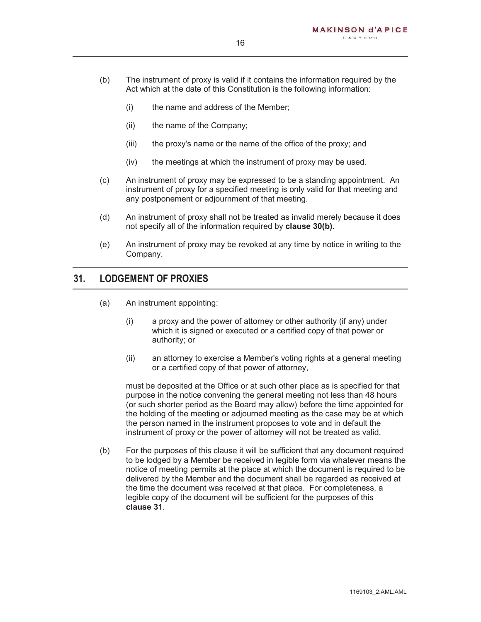- (b) The instrument of proxy is valid if it contains the information required by the Act which at the date of this Constitution is the following information:
	- (i) the name and address of the Member;
	- (ii) the name of the Company;
	- (iii) the proxy's name or the name of the office of the proxy; and
	- (iv) the meetings at which the instrument of proxy may be used.
- (c) An instrument of proxy may be expressed to be a standing appointment. An instrument of proxy for a specified meeting is only valid for that meeting and any postponement or adjournment of that meeting.
- (d) An instrument of proxy shall not be treated as invalid merely because it does not specify all of the information required by **clause 30(b)**.
- (e) An instrument of proxy may be revoked at any time by notice in writing to the Company.

#### **31. LODGEMENT OF PROXIES**

- (a) An instrument appointing:
	- (i) a proxy and the power of attorney or other authority (if any) under which it is signed or executed or a certified copy of that power or authority; or
	- (ii) an attorney to exercise a Member's voting rights at a general meeting or a certified copy of that power of attorney,

must be deposited at the Office or at such other place as is specified for that purpose in the notice convening the general meeting not less than 48 hours (or such shorter period as the Board may allow) before the time appointed for the holding of the meeting or adjourned meeting as the case may be at which the person named in the instrument proposes to vote and in default the instrument of proxy or the power of attorney will not be treated as valid.

(b) For the purposes of this clause it will be sufficient that any document required to be lodged by a Member be received in legible form via whatever means the notice of meeting permits at the place at which the document is required to be delivered by the Member and the document shall be regarded as received at the time the document was received at that place. For completeness, a legible copy of the document will be sufficient for the purposes of this **clause 31**.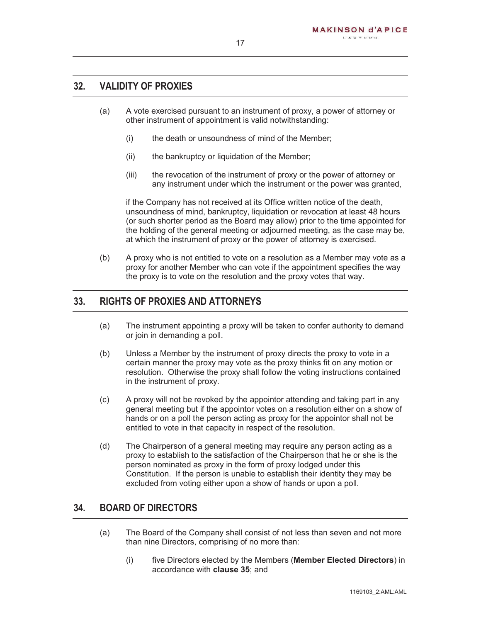#### **32. VALIDITY OF PROXIES**

- (a) A vote exercised pursuant to an instrument of proxy, a power of attorney or other instrument of appointment is valid notwithstanding:
	- (i) the death or unsoundness of mind of the Member;
	- (ii) the bankruptcy or liquidation of the Member;
	- (iii) the revocation of the instrument of proxy or the power of attorney or any instrument under which the instrument or the power was granted,

if the Company has not received at its Office written notice of the death, unsoundness of mind, bankruptcy, liquidation or revocation at least 48 hours (or such shorter period as the Board may allow) prior to the time appointed for the holding of the general meeting or adjourned meeting, as the case may be, at which the instrument of proxy or the power of attorney is exercised.

(b) A proxy who is not entitled to vote on a resolution as a Member may vote as a proxy for another Member who can vote if the appointment specifies the way the proxy is to vote on the resolution and the proxy votes that way.

#### **33. RIGHTS OF PROXIES AND ATTORNEYS**

- (a) The instrument appointing a proxy will be taken to confer authority to demand or join in demanding a poll.
- (b) Unless a Member by the instrument of proxy directs the proxy to vote in a certain manner the proxy may vote as the proxy thinks fit on any motion or resolution. Otherwise the proxy shall follow the voting instructions contained in the instrument of proxy.
- (c) A proxy will not be revoked by the appointor attending and taking part in any general meeting but if the appointor votes on a resolution either on a show of hands or on a poll the person acting as proxy for the appointor shall not be entitled to vote in that capacity in respect of the resolution.
- (d) The Chairperson of a general meeting may require any person acting as a proxy to establish to the satisfaction of the Chairperson that he or she is the person nominated as proxy in the form of proxy lodged under this Constitution. If the person is unable to establish their identity they may be excluded from voting either upon a show of hands or upon a poll.

#### **34. BOARD OF DIRECTORS**

- (a) The Board of the Company shall consist of not less than seven and not more than nine Directors, comprising of no more than:
	- (i) five Directors elected by the Members (**Member Elected Directors**) in accordance with **clause 35**; and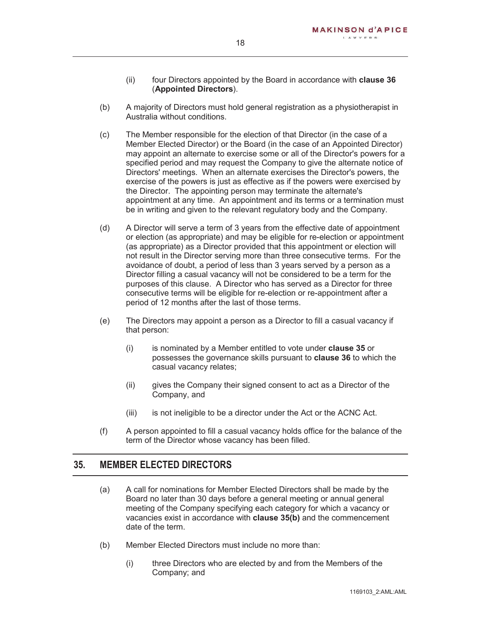- (ii) four Directors appointed by the Board in accordance with **clause 36** (**Appointed Directors**).
- (b) A majority of Directors must hold general registration as a physiotherapist in Australia without conditions.
- (c) The Member responsible for the election of that Director (in the case of a Member Elected Director) or the Board (in the case of an Appointed Director) may appoint an alternate to exercise some or all of the Director's powers for a specified period and may request the Company to give the alternate notice of Directors' meetings. When an alternate exercises the Director's powers, the exercise of the powers is just as effective as if the powers were exercised by the Director. The appointing person may terminate the alternate's appointment at any time. An appointment and its terms or a termination must be in writing and given to the relevant regulatory body and the Company.
- (d) A Director will serve a term of 3 years from the effective date of appointment or election (as appropriate) and may be eligible for re-election or appointment (as appropriate) as a Director provided that this appointment or election will not result in the Director serving more than three consecutive terms. For the avoidance of doubt, a period of less than 3 years served by a person as a Director filling a casual vacancy will not be considered to be a term for the purposes of this clause. A Director who has served as a Director for three consecutive terms will be eligible for re-election or re-appointment after a period of 12 months after the last of those terms.
- (e) The Directors may appoint a person as a Director to fill a casual vacancy if that person:
	- (i) is nominated by a Member entitled to vote under **clause 35** or possesses the governance skills pursuant to **clause 36** to which the casual vacancy relates;
	- (ii) gives the Company their signed consent to act as a Director of the Company, and
	- (iii) is not ineligible to be a director under the Act or the ACNC Act.
- (f) A person appointed to fill a casual vacancy holds office for the balance of the term of the Director whose vacancy has been filled.

#### **35. MEMBER ELECTED DIRECTORS**

- (a) A call for nominations for Member Elected Directors shall be made by the Board no later than 30 days before a general meeting or annual general meeting of the Company specifying each category for which a vacancy or vacancies exist in accordance with **clause 35(b)** and the commencement date of the term.
- (b) Member Elected Directors must include no more than:
	- (i) three Directors who are elected by and from the Members of the Company; and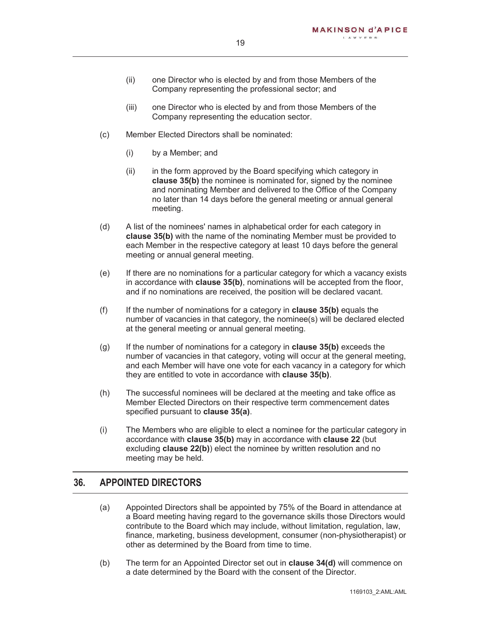- (ii) one Director who is elected by and from those Members of the Company representing the professional sector; and
- (iii) one Director who is elected by and from those Members of the Company representing the education sector.
- (c) Member Elected Directors shall be nominated:
	- (i) by a Member; and
	- (ii) in the form approved by the Board specifying which category in **clause 35(b)** the nominee is nominated for, signed by the nominee and nominating Member and delivered to the Office of the Company no later than 14 days before the general meeting or annual general meeting.
- (d) A list of the nominees' names in alphabetical order for each category in **clause 35(b)** with the name of the nominating Member must be provided to each Member in the respective category at least 10 days before the general meeting or annual general meeting.
- (e) If there are no nominations for a particular category for which a vacancy exists in accordance with **clause 35(b)**, nominations will be accepted from the floor, and if no nominations are received, the position will be declared vacant.
- (f) If the number of nominations for a category in **clause 35(b)** equals the number of vacancies in that category, the nominee(s) will be declared elected at the general meeting or annual general meeting.
- (g) If the number of nominations for a category in **clause 35(b)** exceeds the number of vacancies in that category, voting will occur at the general meeting, and each Member will have one vote for each vacancy in a category for which they are entitled to vote in accordance with **clause 35(b)**.
- (h) The successful nominees will be declared at the meeting and take office as Member Elected Directors on their respective term commencement dates specified pursuant to **clause 35(a)**.
- (i) The Members who are eligible to elect a nominee for the particular category in accordance with **clause 35(b)** may in accordance with **clause 22** (but excluding **clause 22(b)**) elect the nominee by written resolution and no meeting may be held.

#### **36. APPOINTED DIRECTORS**

- (a) Appointed Directors shall be appointed by 75% of the Board in attendance at a Board meeting having regard to the governance skills those Directors would contribute to the Board which may include, without limitation, regulation, law, finance, marketing, business development, consumer (non-physiotherapist) or other as determined by the Board from time to time.
- (b) The term for an Appointed Director set out in **clause 34(d)** will commence on a date determined by the Board with the consent of the Director.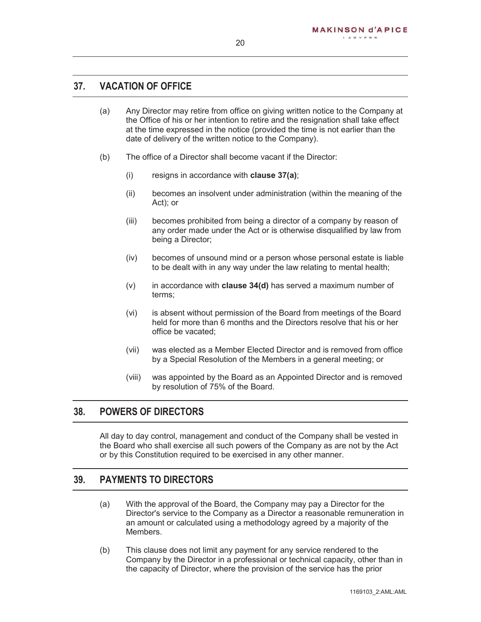#### **37. VACATION OF OFFICE**

- (a) Any Director may retire from office on giving written notice to the Company at the Office of his or her intention to retire and the resignation shall take effect at the time expressed in the notice (provided the time is not earlier than the date of delivery of the written notice to the Company).
- (b) The office of a Director shall become vacant if the Director:
	- (i) resigns in accordance with **clause 37(a)**;
	- (ii) becomes an insolvent under administration (within the meaning of the Act); or
	- (iii) becomes prohibited from being a director of a company by reason of any order made under the Act or is otherwise disqualified by law from being a Director;
	- (iv) becomes of unsound mind or a person whose personal estate is liable to be dealt with in any way under the law relating to mental health;
	- (v) in accordance with **clause 34(d)** has served a maximum number of terms;
	- (vi) is absent without permission of the Board from meetings of the Board held for more than 6 months and the Directors resolve that his or her office be vacated;
	- (vii) was elected as a Member Elected Director and is removed from office by a Special Resolution of the Members in a general meeting; or
	- (viii) was appointed by the Board as an Appointed Director and is removed by resolution of 75% of the Board.

#### **38. POWERS OF DIRECTORS**

All day to day control, management and conduct of the Company shall be vested in the Board who shall exercise all such powers of the Company as are not by the Act or by this Constitution required to be exercised in any other manner.

## **39. PAYMENTS TO DIRECTORS**

- (a) With the approval of the Board, the Company may pay a Director for the Director's service to the Company as a Director a reasonable remuneration in an amount or calculated using a methodology agreed by a majority of the Members.
- (b) This clause does not limit any payment for any service rendered to the Company by the Director in a professional or technical capacity, other than in the capacity of Director, where the provision of the service has the prior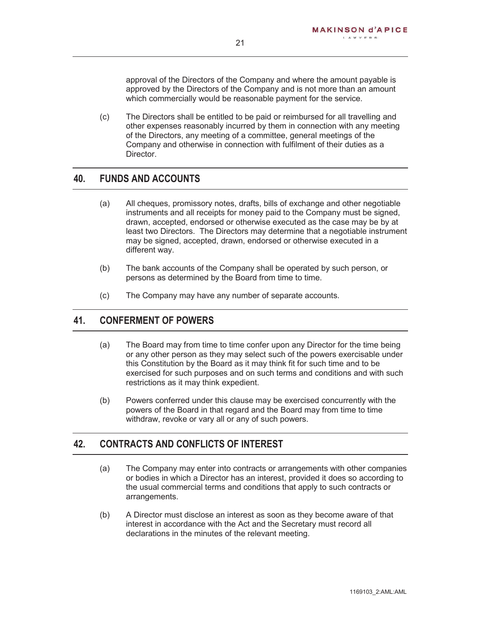approval of the Directors of the Company and where the amount payable is approved by the Directors of the Company and is not more than an amount which commercially would be reasonable payment for the service.

(c) The Directors shall be entitled to be paid or reimbursed for all travelling and other expenses reasonably incurred by them in connection with any meeting of the Directors, any meeting of a committee, general meetings of the Company and otherwise in connection with fulfilment of their duties as a Director.

#### **40. FUNDS AND ACCOUNTS**

- (a) All cheques, promissory notes, drafts, bills of exchange and other negotiable instruments and all receipts for money paid to the Company must be signed, drawn, accepted, endorsed or otherwise executed as the case may be by at least two Directors. The Directors may determine that a negotiable instrument may be signed, accepted, drawn, endorsed or otherwise executed in a different way.
- (b) The bank accounts of the Company shall be operated by such person, or persons as determined by the Board from time to time.
- (c) The Company may have any number of separate accounts.

## **41. CONFERMENT OF POWERS**

- (a) The Board may from time to time confer upon any Director for the time being or any other person as they may select such of the powers exercisable under this Constitution by the Board as it may think fit for such time and to be exercised for such purposes and on such terms and conditions and with such restrictions as it may think expedient.
- (b) Powers conferred under this clause may be exercised concurrently with the powers of the Board in that regard and the Board may from time to time withdraw, revoke or vary all or any of such powers.

#### **42. CONTRACTS AND CONFLICTS OF INTEREST**

- (a) The Company may enter into contracts or arrangements with other companies or bodies in which a Director has an interest, provided it does so according to the usual commercial terms and conditions that apply to such contracts or arrangements.
- (b) A Director must disclose an interest as soon as they become aware of that interest in accordance with the Act and the Secretary must record all declarations in the minutes of the relevant meeting.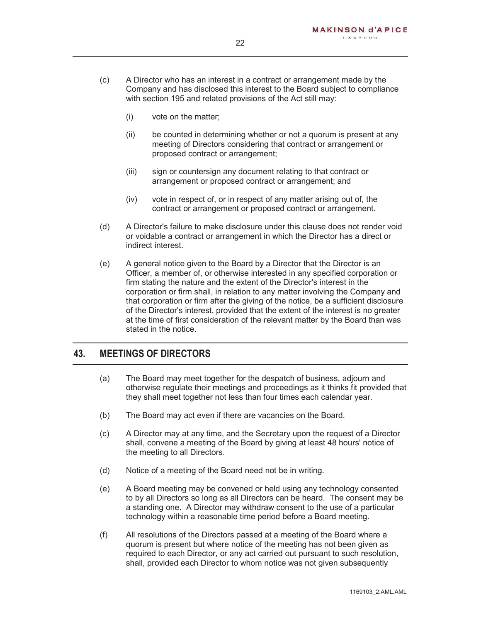- (c) A Director who has an interest in a contract or arrangement made by the Company and has disclosed this interest to the Board subject to compliance with section 195 and related provisions of the Act still may:
	- (i) vote on the matter;
	- (ii) be counted in determining whether or not a quorum is present at any meeting of Directors considering that contract or arrangement or proposed contract or arrangement;
	- (iii) sign or countersign any document relating to that contract or arrangement or proposed contract or arrangement; and
	- (iv) vote in respect of, or in respect of any matter arising out of, the contract or arrangement or proposed contract or arrangement.
- (d) A Director's failure to make disclosure under this clause does not render void or voidable a contract or arrangement in which the Director has a direct or indirect interest.
- (e) A general notice given to the Board by a Director that the Director is an Officer, a member of, or otherwise interested in any specified corporation or firm stating the nature and the extent of the Director's interest in the corporation or firm shall, in relation to any matter involving the Company and that corporation or firm after the giving of the notice, be a sufficient disclosure of the Director's interest, provided that the extent of the interest is no greater at the time of first consideration of the relevant matter by the Board than was stated in the notice.

#### **43. MEETINGS OF DIRECTORS**

- (a) The Board may meet together for the despatch of business, adjourn and otherwise regulate their meetings and proceedings as it thinks fit provided that they shall meet together not less than four times each calendar year.
- (b) The Board may act even if there are vacancies on the Board.
- (c) A Director may at any time, and the Secretary upon the request of a Director shall, convene a meeting of the Board by giving at least 48 hours' notice of the meeting to all Directors.
- (d) Notice of a meeting of the Board need not be in writing.
- (e) A Board meeting may be convened or held using any technology consented to by all Directors so long as all Directors can be heard. The consent may be a standing one. A Director may withdraw consent to the use of a particular technology within a reasonable time period before a Board meeting.
- (f) All resolutions of the Directors passed at a meeting of the Board where a quorum is present but where notice of the meeting has not been given as required to each Director, or any act carried out pursuant to such resolution, shall, provided each Director to whom notice was not given subsequently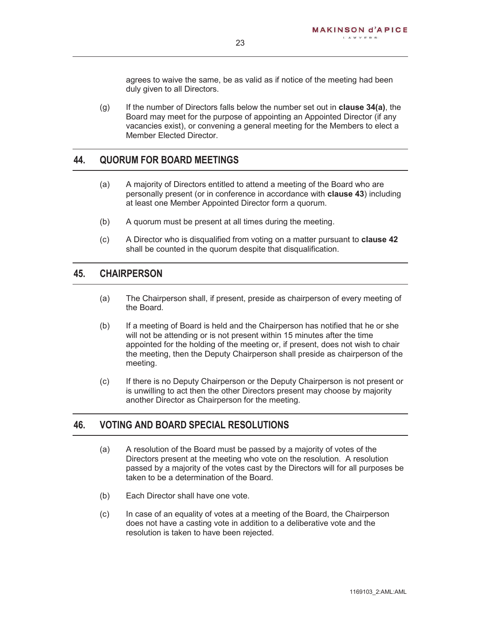agrees to waive the same, be as valid as if notice of the meeting had been duly given to all Directors.

(g) If the number of Directors falls below the number set out in **clause 34(a)**, the Board may meet for the purpose of appointing an Appointed Director (if any vacancies exist), or convening a general meeting for the Members to elect a Member Elected Director.

#### **44. QUORUM FOR BOARD MEETINGS**

- (a) A majority of Directors entitled to attend a meeting of the Board who are personally present (or in conference in accordance with **clause 43**) including at least one Member Appointed Director form a quorum.
- (b) A quorum must be present at all times during the meeting.
- (c) A Director who is disqualified from voting on a matter pursuant to **clause 42** shall be counted in the quorum despite that disqualification.

#### **45. CHAIRPERSON**

- (a) The Chairperson shall, if present, preside as chairperson of every meeting of the Board.
- (b) If a meeting of Board is held and the Chairperson has notified that he or she will not be attending or is not present within 15 minutes after the time appointed for the holding of the meeting or, if present, does not wish to chair the meeting, then the Deputy Chairperson shall preside as chairperson of the meeting.
- (c) If there is no Deputy Chairperson or the Deputy Chairperson is not present or is unwilling to act then the other Directors present may choose by majority another Director as Chairperson for the meeting.

#### **46. VOTING AND BOARD SPECIAL RESOLUTIONS**

- (a) A resolution of the Board must be passed by a majority of votes of the Directors present at the meeting who vote on the resolution. A resolution passed by a majority of the votes cast by the Directors will for all purposes be taken to be a determination of the Board.
- (b) Each Director shall have one vote.
- (c) In case of an equality of votes at a meeting of the Board, the Chairperson does not have a casting vote in addition to a deliberative vote and the resolution is taken to have been rejected.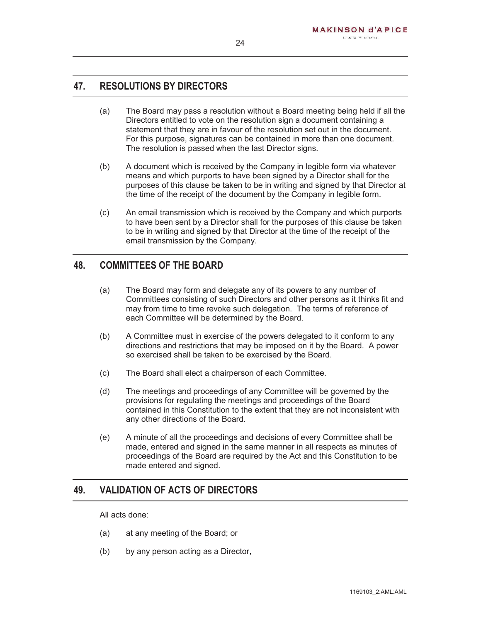#### **47. RESOLUTIONS BY DIRECTORS**

- (a) The Board may pass a resolution without a Board meeting being held if all the Directors entitled to vote on the resolution sign a document containing a statement that they are in favour of the resolution set out in the document. For this purpose, signatures can be contained in more than one document. The resolution is passed when the last Director signs.
- (b) A document which is received by the Company in legible form via whatever means and which purports to have been signed by a Director shall for the purposes of this clause be taken to be in writing and signed by that Director at the time of the receipt of the document by the Company in legible form.
- (c) An email transmission which is received by the Company and which purports to have been sent by a Director shall for the purposes of this clause be taken to be in writing and signed by that Director at the time of the receipt of the email transmission by the Company.

#### **48. COMMITTEES OF THE BOARD**

- (a) The Board may form and delegate any of its powers to any number of Committees consisting of such Directors and other persons as it thinks fit and may from time to time revoke such delegation. The terms of reference of each Committee will be determined by the Board.
- (b) A Committee must in exercise of the powers delegated to it conform to any directions and restrictions that may be imposed on it by the Board. A power so exercised shall be taken to be exercised by the Board.
- (c) The Board shall elect a chairperson of each Committee.
- (d) The meetings and proceedings of any Committee will be governed by the provisions for regulating the meetings and proceedings of the Board contained in this Constitution to the extent that they are not inconsistent with any other directions of the Board.
- (e) A minute of all the proceedings and decisions of every Committee shall be made, entered and signed in the same manner in all respects as minutes of proceedings of the Board are required by the Act and this Constitution to be made entered and signed.

## **49. VALIDATION OF ACTS OF DIRECTORS**

All acts done:

- (a) at any meeting of the Board; or
- (b) by any person acting as a Director,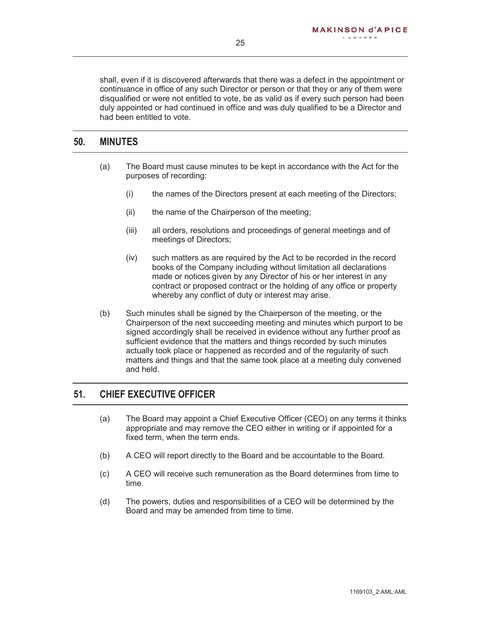shall, even if it is discovered afterwards that there was a defect in the appointment or continuance in office of any such Director or person or that they or any of them were disqualified or were not entitled to vote, be as valid as if every such person had been duly appointed or had continued in office and was duly qualified to be a Director and had been entitled to vote.

## **50. MINUTES**

- (a) The Board must cause minutes to be kept in accordance with the Act for the purposes of recording:
	- (i) the names of the Directors present at each meeting of the Directors;
	- (ii) the name of the Chairperson of the meeting;
	- (iii) all orders, resolutions and proceedings of general meetings and of meetings of Directors;
	- (iv) such matters as are required by the Act to be recorded in the record books of the Company including without limitation all declarations made or notices given by any Director of his or her interest in any contract or proposed contract or the holding of any office or property whereby any conflict of duty or interest may arise.
- (b) Such minutes shall be signed by the Chairperson of the meeting, or the Chairperson of the next succeeding meeting and minutes which purport to be signed accordingly shall be received in evidence without any further proof as sufficient evidence that the matters and things recorded by such minutes actually took place or happened as recorded and of the regularity of such matters and things and that the same took place at a meeting duly convened and held.

## **51. CHIEF EXECUTIVE OFFICER**

- (a) The Board may appoint a Chief Executive Officer (CEO) on any terms it thinks appropriate and may remove the CEO either in writing or if appointed for a fixed term, when the term ends.
- (b) A CEO will report directly to the Board and be accountable to the Board.
- (c) A CEO will receive such remuneration as the Board determines from time to time.
- (d) The powers, duties and responsibilities of a CEO will be determined by the Board and may be amended from time to time.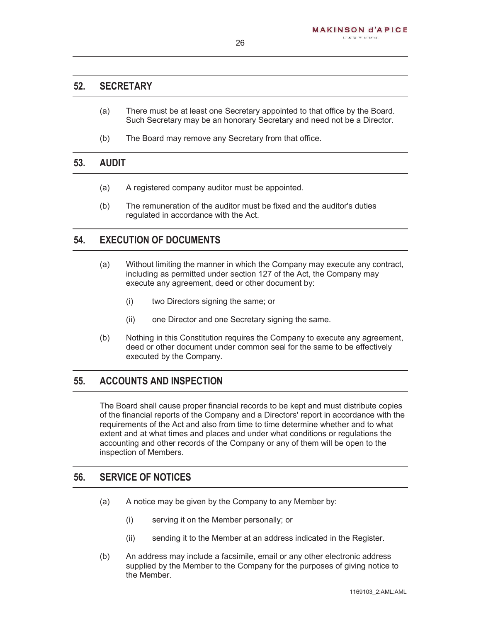#### **52. SECRETARY**

- (a) There must be at least one Secretary appointed to that office by the Board. Such Secretary may be an honorary Secretary and need not be a Director.
- (b) The Board may remove any Secretary from that office.

#### **53. AUDIT**

- (a) A registered company auditor must be appointed.
- (b) The remuneration of the auditor must be fixed and the auditor's duties regulated in accordance with the Act.

#### **54. EXECUTION OF DOCUMENTS**

- (a) Without limiting the manner in which the Company may execute any contract, including as permitted under section 127 of the Act, the Company may execute any agreement, deed or other document by:
	- (i) two Directors signing the same; or
	- (ii) one Director and one Secretary signing the same.
- (b) Nothing in this Constitution requires the Company to execute any agreement, deed or other document under common seal for the same to be effectively executed by the Company.

#### **55. ACCOUNTS AND INSPECTION**

The Board shall cause proper financial records to be kept and must distribute copies of the financial reports of the Company and a Directors' report in accordance with the requirements of the Act and also from time to time determine whether and to what extent and at what times and places and under what conditions or regulations the accounting and other records of the Company or any of them will be open to the inspection of Members.

#### **56. SERVICE OF NOTICES**

- (a) A notice may be given by the Company to any Member by:
	- (i) serving it on the Member personally; or
	- (ii) sending it to the Member at an address indicated in the Register.
- (b) An address may include a facsimile, email or any other electronic address supplied by the Member to the Company for the purposes of giving notice to the Member.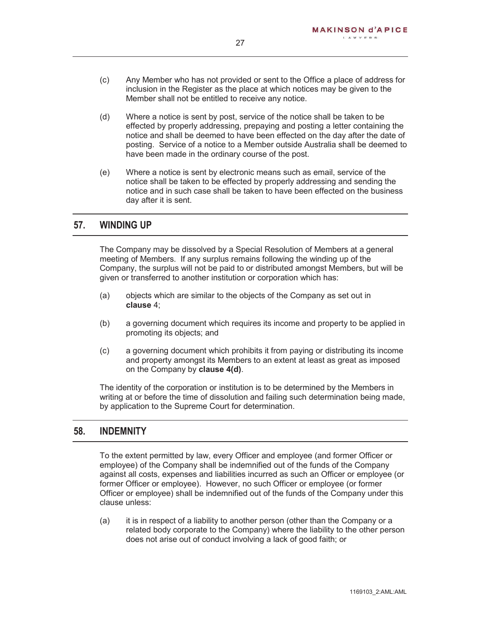- (c) Any Member who has not provided or sent to the Office a place of address for inclusion in the Register as the place at which notices may be given to the Member shall not be entitled to receive any notice.
- (d) Where a notice is sent by post, service of the notice shall be taken to be effected by properly addressing, prepaying and posting a letter containing the notice and shall be deemed to have been effected on the day after the date of posting. Service of a notice to a Member outside Australia shall be deemed to have been made in the ordinary course of the post.
- (e) Where a notice is sent by electronic means such as email, service of the notice shall be taken to be effected by properly addressing and sending the notice and in such case shall be taken to have been effected on the business day after it is sent.

#### **57. WINDING UP**

The Company may be dissolved by a Special Resolution of Members at a general meeting of Members. If any surplus remains following the winding up of the Company, the surplus will not be paid to or distributed amongst Members, but will be given or transferred to another institution or corporation which has:

- (a) objects which are similar to the objects of the Company as set out in **clause** 4;
- (b) a governing document which requires its income and property to be applied in promoting its objects; and
- (c) a governing document which prohibits it from paying or distributing its income and property amongst its Members to an extent at least as great as imposed on the Company by **clause 4(d)**.

The identity of the corporation or institution is to be determined by the Members in writing at or before the time of dissolution and failing such determination being made, by application to the Supreme Court for determination.

#### **58. INDEMNITY**

To the extent permitted by law, every Officer and employee (and former Officer or employee) of the Company shall be indemnified out of the funds of the Company against all costs, expenses and liabilities incurred as such an Officer or employee (or former Officer or employee). However, no such Officer or employee (or former Officer or employee) shall be indemnified out of the funds of the Company under this clause unless:

(a) it is in respect of a liability to another person (other than the Company or a related body corporate to the Company) where the liability to the other person does not arise out of conduct involving a lack of good faith; or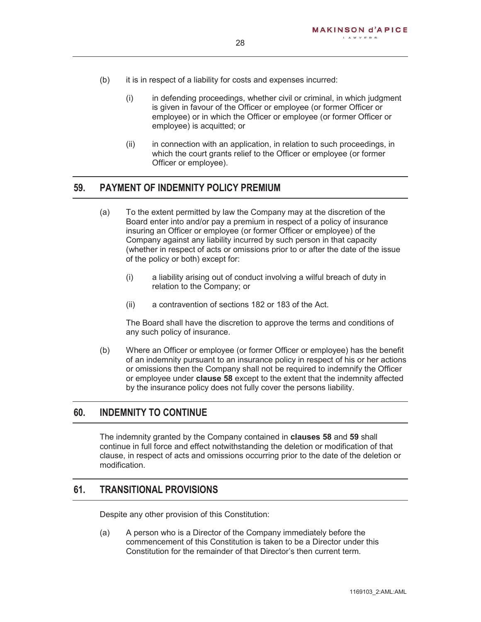- (b) it is in respect of a liability for costs and expenses incurred:
	- (i) in defending proceedings, whether civil or criminal, in which judgment is given in favour of the Officer or employee (or former Officer or employee) or in which the Officer or employee (or former Officer or employee) is acquitted; or
	- (ii) in connection with an application, in relation to such proceedings, in which the court grants relief to the Officer or employee (or former Officer or employee).

#### **59. PAYMENT OF INDEMNITY POLICY PREMIUM**

- (a) To the extent permitted by law the Company may at the discretion of the Board enter into and/or pay a premium in respect of a policy of insurance insuring an Officer or employee (or former Officer or employee) of the Company against any liability incurred by such person in that capacity (whether in respect of acts or omissions prior to or after the date of the issue of the policy or both) except for:
	- (i) a liability arising out of conduct involving a wilful breach of duty in relation to the Company; or
	- (ii) a contravention of sections 182 or 183 of the Act.

The Board shall have the discretion to approve the terms and conditions of any such policy of insurance.

(b) Where an Officer or employee (or former Officer or employee) has the benefit of an indemnity pursuant to an insurance policy in respect of his or her actions or omissions then the Company shall not be required to indemnify the Officer or employee under **clause 58** except to the extent that the indemnity affected by the insurance policy does not fully cover the persons liability.

#### **60. INDEMNITY TO CONTINUE**

The indemnity granted by the Company contained in **clauses 58** and **59** shall continue in full force and effect notwithstanding the deletion or modification of that clause, in respect of acts and omissions occurring prior to the date of the deletion or modification.

#### **61. TRANSITIONAL PROVISIONS**

Despite any other provision of this Constitution:

(a) A person who is a Director of the Company immediately before the commencement of this Constitution is taken to be a Director under this Constitution for the remainder of that Director's then current term.